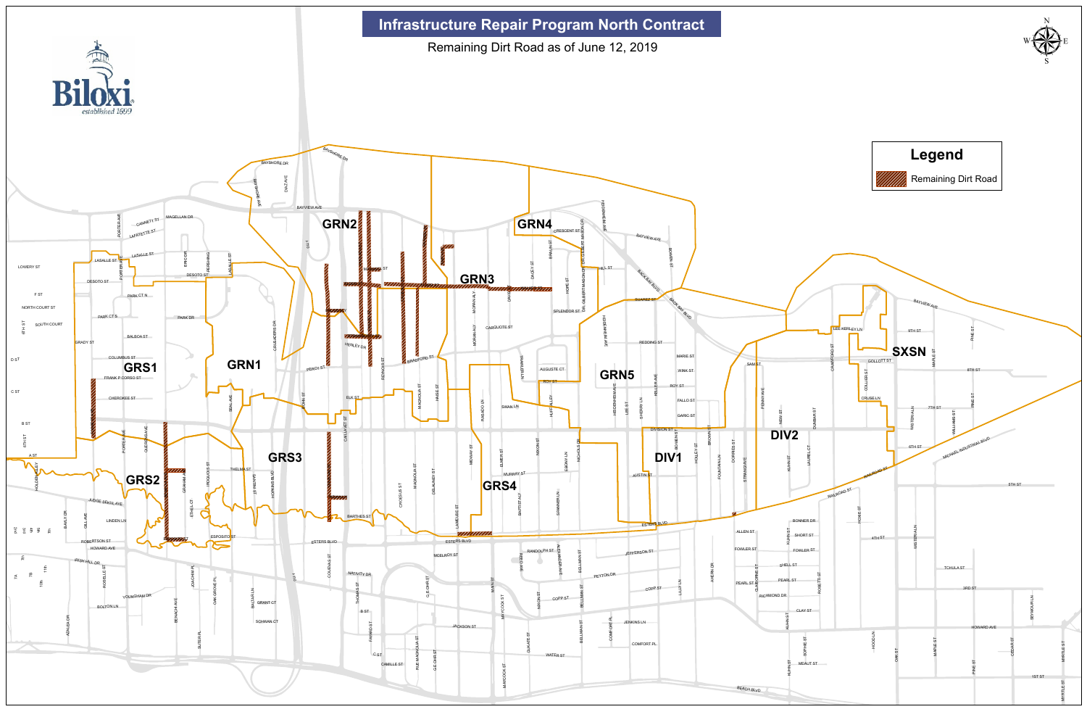

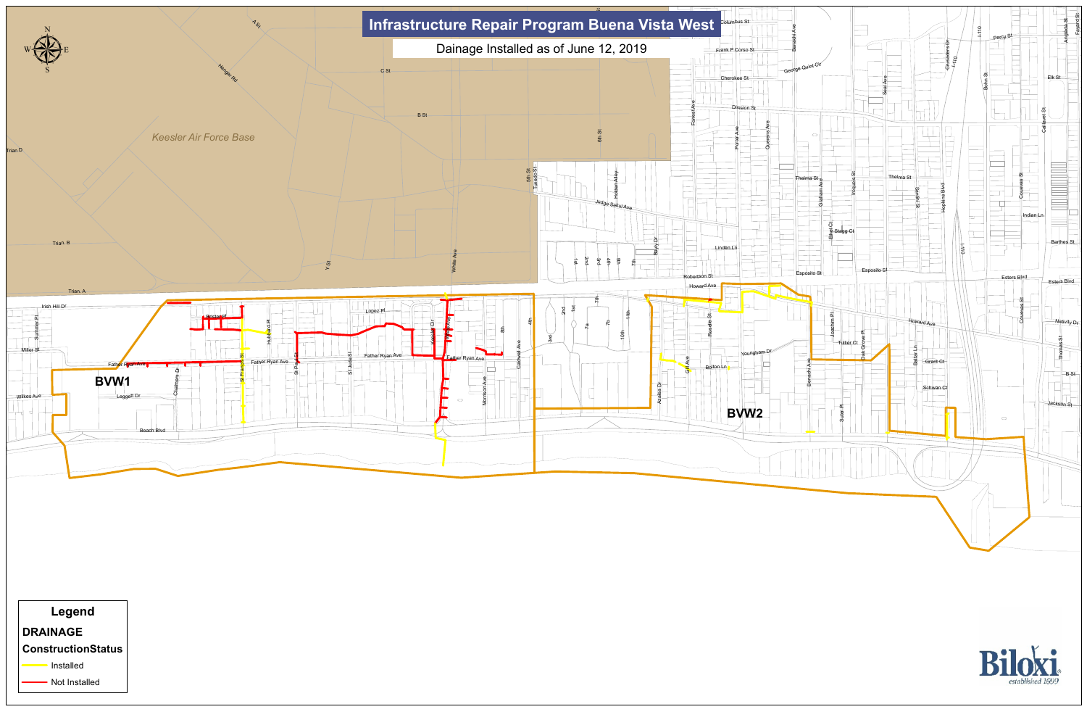